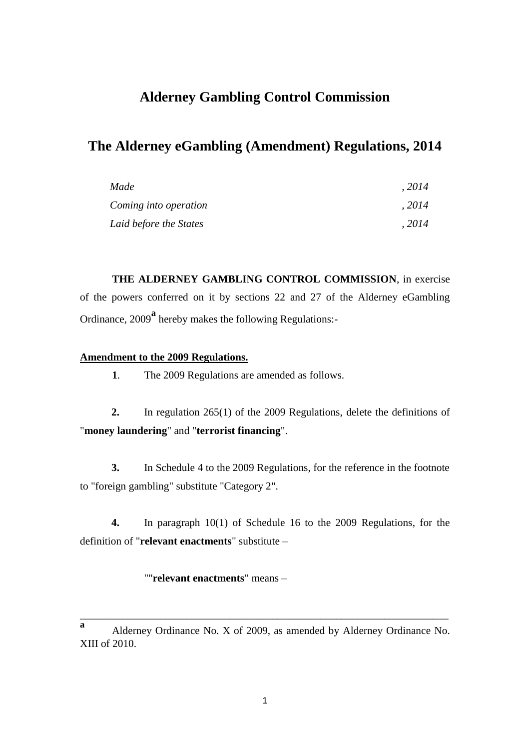## **Alderney Gambling Control Commission**

# **The Alderney eGambling (Amendment) Regulations, 2014**

| Made                   | .2014 |
|------------------------|-------|
| Coming into operation  | .2014 |
| Laid before the States | .2014 |

**THE ALDERNEY GAMBLING CONTROL COMMISSION**, in exercise of the powers conferred on it by sections 22 and 27 of the Alderney eGambling Ordinance, 2009**<sup>a</sup>** hereby makes the following Regulations:-

### **Amendment to the 2009 Regulations.**

**1**. The 2009 Regulations are amended as follows.

**2.** In regulation 265(1) of the 2009 Regulations, delete the definitions of "**money laundering**" and "**terrorist financing**".

**3.** In Schedule 4 to the 2009 Regulations, for the reference in the footnote to "foreign gambling" substitute "Category 2".

**4.** In paragraph 10(1) of Schedule 16 to the 2009 Regulations, for the definition of "**relevant enactments**" substitute –

""**relevant enactments**" means –

\_\_\_\_\_\_\_\_\_\_\_\_\_\_\_\_\_\_\_\_\_\_\_\_\_\_\_\_\_\_\_\_\_\_\_\_\_\_\_\_\_\_\_\_\_\_\_\_\_\_\_\_\_\_\_\_\_\_\_\_\_\_\_\_\_\_\_\_\_

**a** Alderney Ordinance No. X of 2009, as amended by Alderney Ordinance No. XIII of 2010.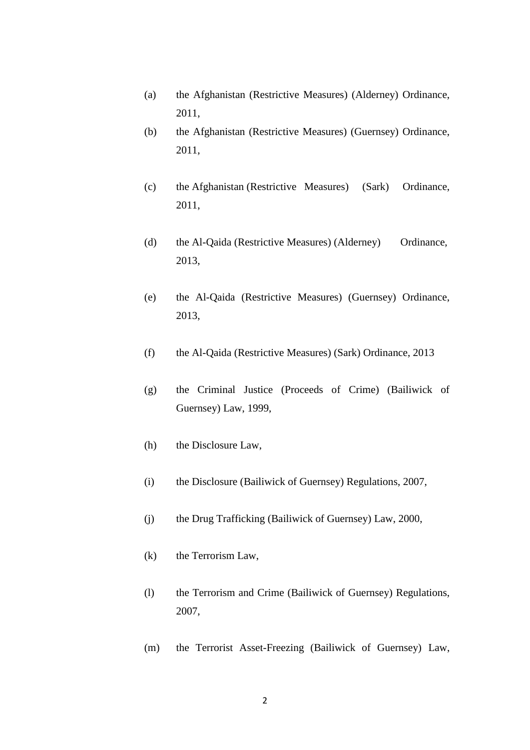- (a) the Afghanistan (Restrictive Measures) (Alderney) Ordinance, 2011,
- (b) the Afghanistan (Restrictive Measures) (Guernsey) Ordinance, 2011,
- (c) the Afghanistan (Restrictive Measures) (Sark) Ordinance, 2011,
- (d) the Al-Qaida (Restrictive Measures) (Alderney) Ordinance, 2013,
- (e) the Al-Qaida (Restrictive Measures) (Guernsey) Ordinance, 2013,
- (f) the Al-Qaida (Restrictive Measures) (Sark) Ordinance, 2013
- (g) the Criminal Justice (Proceeds of Crime) (Bailiwick of Guernsey) Law, 1999,
- (h) the Disclosure Law,
- (i) the Disclosure (Bailiwick of Guernsey) Regulations, 2007,
- (j) the Drug Trafficking (Bailiwick of Guernsey) Law, 2000,
- (k) the Terrorism Law,
- (l) the Terrorism and Crime (Bailiwick of Guernsey) Regulations, 2007,
- (m) the Terrorist Asset-Freezing (Bailiwick of Guernsey) Law,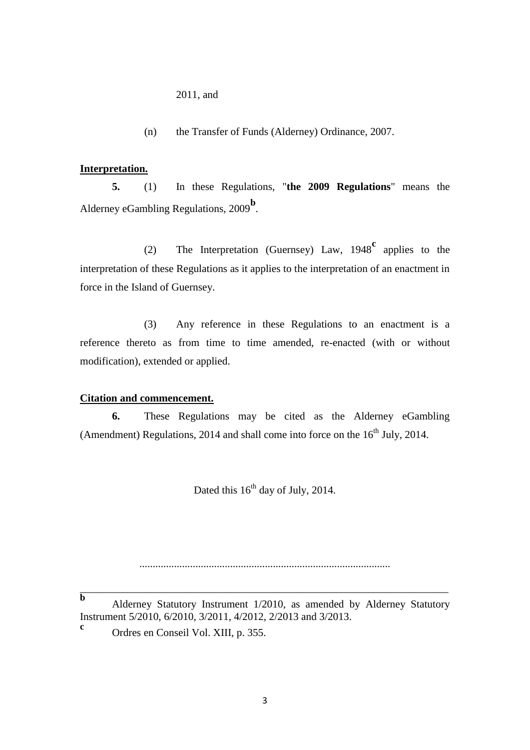2011, and

(n) the Transfer of Funds (Alderney) Ordinance, 2007.

#### **Interpretation.**

**5.** (1) In these Regulations, "**the 2009 Regulations**" means the Alderney eGambling Regulations, 2009<sup>b</sup>.

(2) The Interpretation (Guernsey) Law, 1948**<sup>c</sup>** applies to the interpretation of these Regulations as it applies to the interpretation of an enactment in force in the Island of Guernsey.

(3) Any reference in these Regulations to an enactment is a reference thereto as from time to time amended, re-enacted (with or without modification), extended or applied.

#### **Citation and commencement.**

**6.** These Regulations may be cited as the Alderney eGambling (Amendment) Regulations, 2014 and shall come into force on the  $16<sup>th</sup>$  July, 2014.

Dated this  $16<sup>th</sup>$  day of July, 2014.

..............................................................................................

**b** Alderney Statutory Instrument 1/2010, as amended by Alderney Statutory Instrument 5/2010, 6/2010, 3/2011, 4/2012, 2/2013 and 3/2013.

\_\_\_\_\_\_\_\_\_\_\_\_\_\_\_\_\_\_\_\_\_\_\_\_\_\_\_\_\_\_\_\_\_\_\_\_\_\_\_\_\_\_\_\_\_\_\_\_\_\_\_\_\_\_\_\_\_\_\_\_\_\_\_\_\_\_\_\_\_

**c** Ordres en Conseil Vol. XIII, p. 355.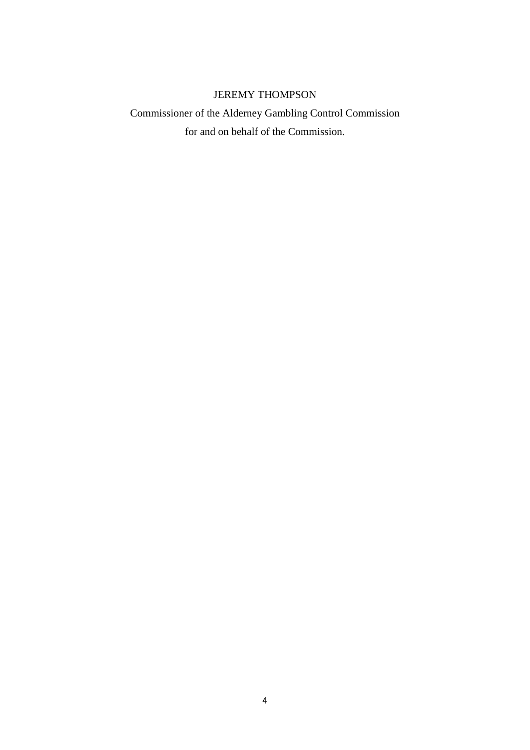### JEREMY THOMPSON

# Commissioner of the Alderney Gambling Control Commission for and on behalf of the Commission.